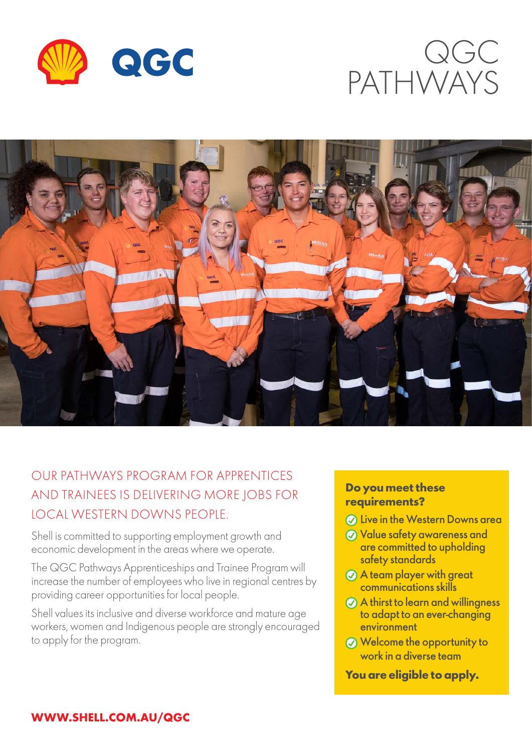





# OUR PATHWAYS PROGRAM FOR APPRENTICES AND TRAINEES IS DELIVERING MORE JOBS FOR LOCAL WESTERN DOWNS PEOPLE.

Shell is committed to supporting employment growth and economic development in the areas where we operate.

The QGC Pathways Apprenticeships and Trainee Program will increase the number of employees who live in regional centres by providing career opportunities for local people.

Shell values its inclusive and diverse workforce and mature age workers, women and Indigenous people are strongly encouraged to apply for the program.

### **Do you meet these requirements?**

- **Q** Live in the Western Downs area
- Value safety awareness and are committed to upholding safety standards
- A team player with great communications skills
- A thirst to learn and willingness to adapt to an ever-changing environment
- Welcome the opportunity to work in a diverse team

#### **You are eligible to apply.**

### **WWW.SHELL.COM.AU/QGC**